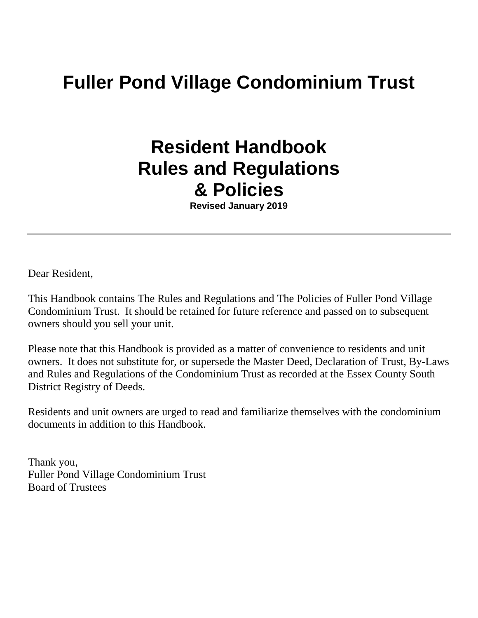# **Fuller Pond Village Condominium Trust**

# **Resident Handbook Rules and Regulations & Policies**

**Revised January 2019**

Dear Resident,

This Handbook contains The Rules and Regulations and The Policies of Fuller Pond Village Condominium Trust. It should be retained for future reference and passed on to subsequent owners should you sell your unit.

Please note that this Handbook is provided as a matter of convenience to residents and unit owners. It does not substitute for, or supersede the Master Deed, Declaration of Trust, By-Laws and Rules and Regulations of the Condominium Trust as recorded at the Essex County South District Registry of Deeds.

Residents and unit owners are urged to read and familiarize themselves with the condominium documents in addition to this Handbook.

Thank you, Fuller Pond Village Condominium Trust Board of Trustees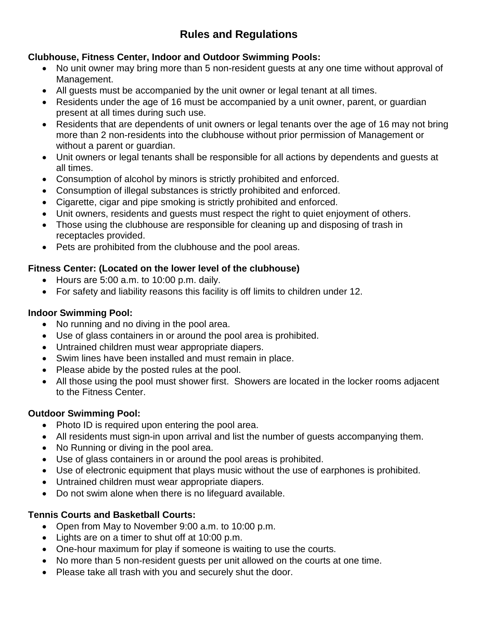# **Rules and Regulations**

### **Clubhouse, Fitness Center, Indoor and Outdoor Swimming Pools:**

- No unit owner may bring more than 5 non-resident guests at any one time without approval of Management.
- All guests must be accompanied by the unit owner or legal tenant at all times.
- Residents under the age of 16 must be accompanied by a unit owner, parent, or guardian present at all times during such use.
- Residents that are dependents of unit owners or legal tenants over the age of 16 may not bring more than 2 non-residents into the clubhouse without prior permission of Management or without a parent or guardian.
- Unit owners or legal tenants shall be responsible for all actions by dependents and guests at all times.
- Consumption of alcohol by minors is strictly prohibited and enforced.
- Consumption of illegal substances is strictly prohibited and enforced.
- Cigarette, cigar and pipe smoking is strictly prohibited and enforced.
- Unit owners, residents and guests must respect the right to quiet enjoyment of others.
- Those using the clubhouse are responsible for cleaning up and disposing of trash in receptacles provided.
- Pets are prohibited from the clubhouse and the pool areas.

#### **Fitness Center: (Located on the lower level of the clubhouse)**

- Hours are 5:00 a.m. to 10:00 p.m. daily.
- For safety and liability reasons this facility is off limits to children under 12.

### **Indoor Swimming Pool:**

- No running and no diving in the pool area.
- Use of glass containers in or around the pool area is prohibited.
- Untrained children must wear appropriate diapers.
- Swim lines have been installed and must remain in place.
- Please abide by the posted rules at the pool.
- All those using the pool must shower first. Showers are located in the locker rooms adjacent to the Fitness Center.

# **Outdoor Swimming Pool:**

- Photo ID is required upon entering the pool area.
- All residents must sign-in upon arrival and list the number of guests accompanying them.
- No Running or diving in the pool area.
- Use of glass containers in or around the pool areas is prohibited.
- Use of electronic equipment that plays music without the use of earphones is prohibited.
- Untrained children must wear appropriate diapers.
- Do not swim alone when there is no lifeguard available.

# **Tennis Courts and Basketball Courts:**

- Open from May to November 9:00 a.m. to 10:00 p.m.
- Lights are on a timer to shut off at 10:00 p.m.
- One-hour maximum for play if someone is waiting to use the courts.
- No more than 5 non-resident guests per unit allowed on the courts at one time.
- Please take all trash with you and securely shut the door.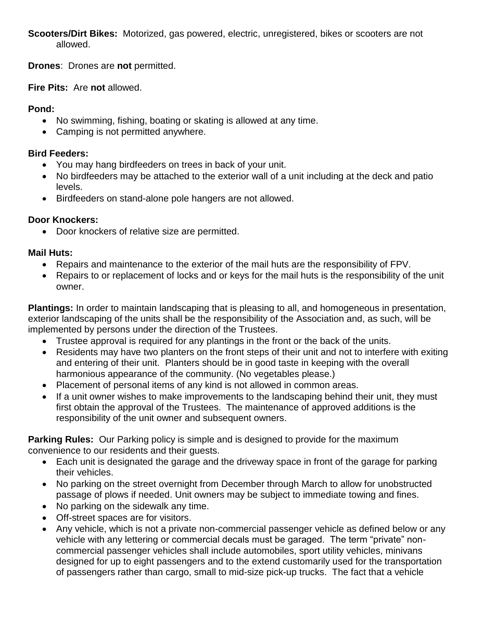**Scooters/Dirt Bikes:** Motorized, gas powered, electric, unregistered, bikes or scooters are not allowed.

**Drones**: Drones are **not** permitted.

**Fire Pits:** Are **not** allowed.

#### **Pond:**

- No swimming, fishing, boating or skating is allowed at any time.
- Camping is not permitted anywhere.

#### **Bird Feeders:**

- You may hang birdfeeders on trees in back of your unit.
- No birdfeeders may be attached to the exterior wall of a unit including at the deck and patio levels.
- Birdfeeders on stand-alone pole hangers are not allowed.

#### **Door Knockers:**

• Door knockers of relative size are permitted.

#### **Mail Huts:**

- Repairs and maintenance to the exterior of the mail huts are the responsibility of FPV.
- Repairs to or replacement of locks and or keys for the mail huts is the responsibility of the unit owner.

**Plantings:** In order to maintain landscaping that is pleasing to all, and homogeneous in presentation, exterior landscaping of the units shall be the responsibility of the Association and, as such, will be implemented by persons under the direction of the Trustees.

- Trustee approval is required for any plantings in the front or the back of the units.
- Residents may have two planters on the front steps of their unit and not to interfere with exiting and entering of their unit. Planters should be in good taste in keeping with the overall harmonious appearance of the community. (No vegetables please.)
- Placement of personal items of any kind is not allowed in common areas.
- If a unit owner wishes to make improvements to the landscaping behind their unit, they must first obtain the approval of the Trustees. The maintenance of approved additions is the responsibility of the unit owner and subsequent owners.

**Parking Rules:** Our Parking policy is simple and is designed to provide for the maximum convenience to our residents and their guests.

- Each unit is designated the garage and the driveway space in front of the garage for parking their vehicles.
- No parking on the street overnight from December through March to allow for unobstructed passage of plows if needed. Unit owners may be subject to immediate towing and fines.
- No parking on the sidewalk any time.
- Off-street spaces are for visitors.
- Any vehicle, which is not a private non-commercial passenger vehicle as defined below or any vehicle with any lettering or commercial decals must be garaged. The term "private" noncommercial passenger vehicles shall include automobiles, sport utility vehicles, minivans designed for up to eight passengers and to the extend customarily used for the transportation of passengers rather than cargo, small to mid-size pick-up trucks. The fact that a vehicle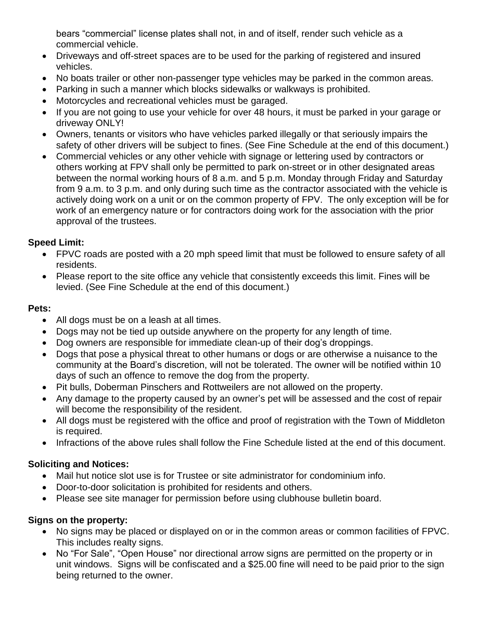bears "commercial" license plates shall not, in and of itself, render such vehicle as a commercial vehicle.

- Driveways and off-street spaces are to be used for the parking of registered and insured vehicles.
- No boats trailer or other non-passenger type vehicles may be parked in the common areas.
- Parking in such a manner which blocks sidewalks or walkways is prohibited.
- Motorcycles and recreational vehicles must be garaged.
- If you are not going to use your vehicle for over 48 hours, it must be parked in your garage or driveway ONLY!
- Owners, tenants or visitors who have vehicles parked illegally or that seriously impairs the safety of other drivers will be subject to fines. (See Fine Schedule at the end of this document.)
- Commercial vehicles or any other vehicle with signage or lettering used by contractors or others working at FPV shall only be permitted to park on-street or in other designated areas between the normal working hours of 8 a.m. and 5 p.m. Monday through Friday and Saturday from 9 a.m. to 3 p.m. and only during such time as the contractor associated with the vehicle is actively doing work on a unit or on the common property of FPV. The only exception will be for work of an emergency nature or for contractors doing work for the association with the prior approval of the trustees.

#### **Speed Limit:**

- FPVC roads are posted with a 20 mph speed limit that must be followed to ensure safety of all residents.
- Please report to the site office any vehicle that consistently exceeds this limit. Fines will be levied. (See Fine Schedule at the end of this document.)

#### **Pets:**

- All dogs must be on a leash at all times.
- Dogs may not be tied up outside anywhere on the property for any length of time.
- Dog owners are responsible for immediate clean-up of their dog's droppings.
- Dogs that pose a physical threat to other humans or dogs or are otherwise a nuisance to the community at the Board's discretion, will not be tolerated. The owner will be notified within 10 days of such an offence to remove the dog from the property.
- Pit bulls, Doberman Pinschers and Rottweilers are not allowed on the property.
- Any damage to the property caused by an owner's pet will be assessed and the cost of repair will become the responsibility of the resident.
- All dogs must be registered with the office and proof of registration with the Town of Middleton is required.
- Infractions of the above rules shall follow the Fine Schedule listed at the end of this document.

# **Soliciting and Notices:**

- Mail hut notice slot use is for Trustee or site administrator for condominium info.
- Door-to-door solicitation is prohibited for residents and others.
- Please see site manager for permission before using clubhouse bulletin board.

#### **Signs on the property:**

- No signs may be placed or displayed on or in the common areas or common facilities of FPVC. This includes realty signs.
- No "For Sale", "Open House" nor directional arrow signs are permitted on the property or in unit windows. Signs will be confiscated and a \$25.00 fine will need to be paid prior to the sign being returned to the owner.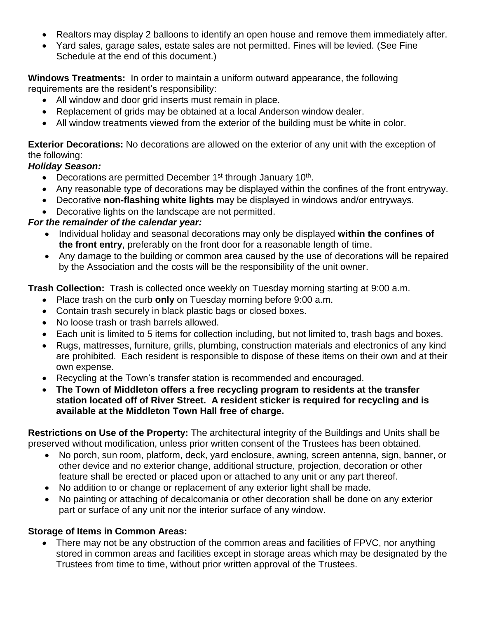- Realtors may display 2 balloons to identify an open house and remove them immediately after.
- Yard sales, garage sales, estate sales are not permitted. Fines will be levied. (See Fine Schedule at the end of this document.)

**Windows Treatments:** In order to maintain a uniform outward appearance, the following requirements are the resident's responsibility:

- All window and door grid inserts must remain in place.
- Replacement of grids may be obtained at a local Anderson window dealer.
- All window treatments viewed from the exterior of the building must be white in color.

**Exterior Decorations:** No decorations are allowed on the exterior of any unit with the exception of the following:

#### *Holiday Season:*

- Decorations are permitted December 1<sup>st</sup> through January 10<sup>th</sup>.
- Any reasonable type of decorations may be displayed within the confines of the front entryway.
- Decorative **non-flashing white lights** may be displayed in windows and/or entryways.
- Decorative lights on the landscape are not permitted.

#### *For the remainder of the calendar year:*

- Individual holiday and seasonal decorations may only be displayed **within the confines of the front entry**, preferably on the front door for a reasonable length of time.
- Any damage to the building or common area caused by the use of decorations will be repaired by the Association and the costs will be the responsibility of the unit owner.

**Trash Collection:** Trash is collected once weekly on Tuesday morning starting at 9:00 a.m.

- Place trash on the curb **only** on Tuesday morning before 9:00 a.m.
- Contain trash securely in black plastic bags or closed boxes.
- No loose trash or trash barrels allowed.
- Each unit is limited to 5 items for collection including, but not limited to, trash bags and boxes.
- Rugs, mattresses, furniture, grills, plumbing, construction materials and electronics of any kind are prohibited. Each resident is responsible to dispose of these items on their own and at their own expense.
- Recycling at the Town's transfer station is recommended and encouraged.
- **The Town of Middleton offers a free recycling program to residents at the transfer station located off of River Street. A resident sticker is required for recycling and is available at the Middleton Town Hall free of charge.**

**Restrictions on Use of the Property:** The architectural integrity of the Buildings and Units shall be preserved without modification, unless prior written consent of the Trustees has been obtained.

- No porch, sun room, platform, deck, yard enclosure, awning, screen antenna, sign, banner, or other device and no exterior change, additional structure, projection, decoration or other feature shall be erected or placed upon or attached to any unit or any part thereof.
- No addition to or change or replacement of any exterior light shall be made.
- No painting or attaching of decalcomania or other decoration shall be done on any exterior part or surface of any unit nor the interior surface of any window.

#### **Storage of Items in Common Areas:**

• There may not be any obstruction of the common areas and facilities of FPVC, nor anything stored in common areas and facilities except in storage areas which may be designated by the Trustees from time to time, without prior written approval of the Trustees.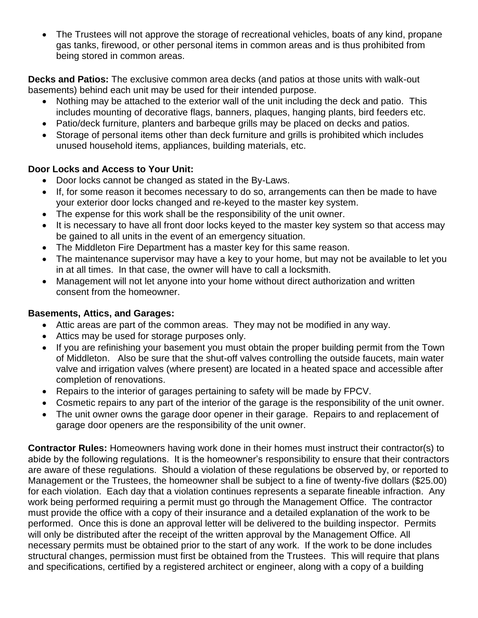• The Trustees will not approve the storage of recreational vehicles, boats of any kind, propane gas tanks, firewood, or other personal items in common areas and is thus prohibited from being stored in common areas.

**Decks and Patios:** The exclusive common area decks (and patios at those units with walk-out basements) behind each unit may be used for their intended purpose.

- Nothing may be attached to the exterior wall of the unit including the deck and patio. This includes mounting of decorative flags, banners, plaques, hanging plants, bird feeders etc.
- Patio/deck furniture, planters and barbeque grills may be placed on decks and patios.
- Storage of personal items other than deck furniture and grills is prohibited which includes unused household items, appliances, building materials, etc.

#### **Door Locks and Access to Your Unit:**

- Door locks cannot be changed as stated in the By-Laws.
- If, for some reason it becomes necessary to do so, arrangements can then be made to have your exterior door locks changed and re-keyed to the master key system.
- The expense for this work shall be the responsibility of the unit owner.
- It is necessary to have all front door locks keyed to the master key system so that access may be gained to all units in the event of an emergency situation.
- The Middleton Fire Department has a master key for this same reason.
- The maintenance supervisor may have a key to your home, but may not be available to let you in at all times. In that case, the owner will have to call a locksmith.
- Management will not let anyone into your home without direct authorization and written consent from the homeowner.

### **Basements, Attics, and Garages:**

- Attic areas are part of the common areas. They may not be modified in any way.
- Attics may be used for storage purposes only.
- If you are refinishing your basement you must obtain the proper building permit from the Town of Middleton. Also be sure that the shut-off valves controlling the outside faucets, main water valve and irrigation valves (where present) are located in a heated space and accessible after completion of renovations.
- Repairs to the interior of garages pertaining to safety will be made by FPCV.
- Cosmetic repairs to any part of the interior of the garage is the responsibility of the unit owner.
- The unit owner owns the garage door opener in their garage. Repairs to and replacement of garage door openers are the responsibility of the unit owner.

**Contractor Rules:** Homeowners having work done in their homes must instruct their contractor(s) to abide by the following regulations. It is the homeowner's responsibility to ensure that their contractors are aware of these regulations. Should a violation of these regulations be observed by, or reported to Management or the Trustees, the homeowner shall be subject to a fine of twenty-five dollars (\$25.00) for each violation. Each day that a violation continues represents a separate fineable infraction. Any work being performed requiring a permit must go through the Management Office. The contractor must provide the office with a copy of their insurance and a detailed explanation of the work to be performed. Once this is done an approval letter will be delivered to the building inspector. Permits will only be distributed after the receipt of the written approval by the Management Office. All necessary permits must be obtained prior to the start of any work. If the work to be done includes structural changes, permission must first be obtained from the Trustees. This will require that plans and specifications, certified by a registered architect or engineer, along with a copy of a building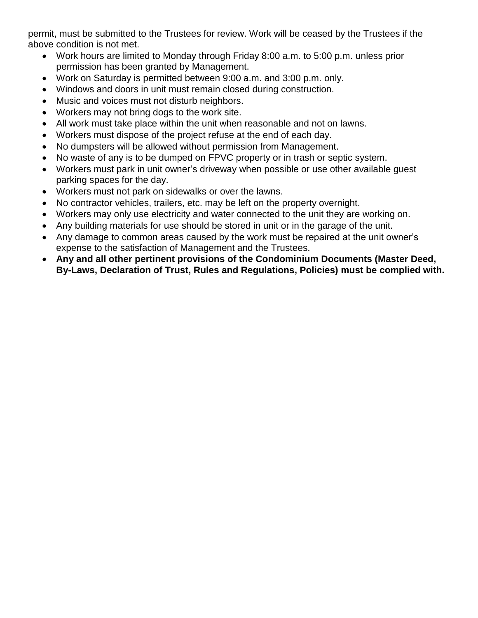permit, must be submitted to the Trustees for review. Work will be ceased by the Trustees if the above condition is not met.

- Work hours are limited to Monday through Friday 8:00 a.m. to 5:00 p.m. unless prior permission has been granted by Management.
- Work on Saturday is permitted between 9:00 a.m. and 3:00 p.m. only.
- Windows and doors in unit must remain closed during construction.
- Music and voices must not disturb neighbors.
- Workers may not bring dogs to the work site.
- All work must take place within the unit when reasonable and not on lawns.
- Workers must dispose of the project refuse at the end of each day.
- No dumpsters will be allowed without permission from Management.
- No waste of any is to be dumped on FPVC property or in trash or septic system.
- Workers must park in unit owner's driveway when possible or use other available guest parking spaces for the day.
- Workers must not park on sidewalks or over the lawns.
- No contractor vehicles, trailers, etc. may be left on the property overnight.
- Workers may only use electricity and water connected to the unit they are working on.
- Any building materials for use should be stored in unit or in the garage of the unit.
- Any damage to common areas caused by the work must be repaired at the unit owner's expense to the satisfaction of Management and the Trustees.
- **Any and all other pertinent provisions of the Condominium Documents (Master Deed, By-Laws, Declaration of Trust, Rules and Regulations, Policies) must be complied with.**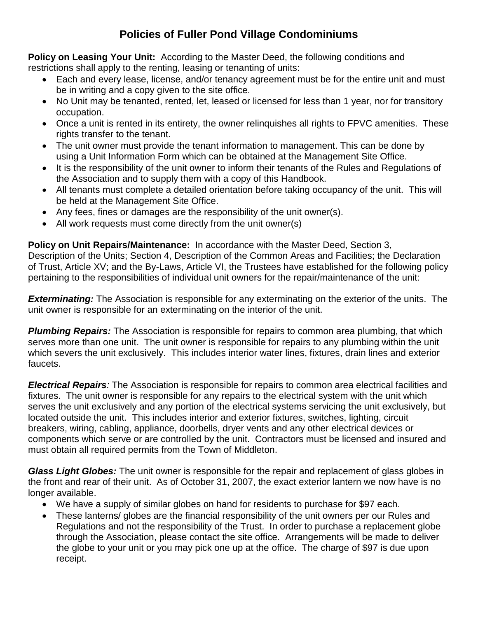# **Policies of Fuller Pond Village Condominiums**

**Policy on Leasing Your Unit:** According to the Master Deed, the following conditions and restrictions shall apply to the renting, leasing or tenanting of units:

- Each and every lease, license, and/or tenancy agreement must be for the entire unit and must be in writing and a copy given to the site office.
- No Unit may be tenanted, rented, let, leased or licensed for less than 1 year, nor for transitory occupation.
- Once a unit is rented in its entirety, the owner relinquishes all rights to FPVC amenities. These rights transfer to the tenant.
- The unit owner must provide the tenant information to management. This can be done by using a Unit Information Form which can be obtained at the Management Site Office.
- It is the responsibility of the unit owner to inform their tenants of the Rules and Regulations of the Association and to supply them with a copy of this Handbook.
- All tenants must complete a detailed orientation before taking occupancy of the unit. This will be held at the Management Site Office.
- Any fees, fines or damages are the responsibility of the unit owner(s).
- All work requests must come directly from the unit owner(s)

**Policy on Unit Repairs/Maintenance:** In accordance with the Master Deed, Section 3, Description of the Units; Section 4, Description of the Common Areas and Facilities; the Declaration of Trust, Article XV; and the By-Laws, Article VI, the Trustees have established for the following policy pertaining to the responsibilities of individual unit owners for the repair/maintenance of the unit:

*Exterminating:* The Association is responsible for any exterminating on the exterior of the units. The unit owner is responsible for an exterminating on the interior of the unit.

*Plumbing Repairs:* The Association is responsible for repairs to common area plumbing, that which serves more than one unit. The unit owner is responsible for repairs to any plumbing within the unit which severs the unit exclusively. This includes interior water lines, fixtures, drain lines and exterior faucets.

*Electrical Repairs:* The Association is responsible for repairs to common area electrical facilities and fixtures. The unit owner is responsible for any repairs to the electrical system with the unit which serves the unit exclusively and any portion of the electrical systems servicing the unit exclusively, but located outside the unit. This includes interior and exterior fixtures, switches, lighting, circuit breakers, wiring, cabling, appliance, doorbells, dryer vents and any other electrical devices or components which serve or are controlled by the unit. Contractors must be licensed and insured and must obtain all required permits from the Town of Middleton.

*Glass Light Globes:* The unit owner is responsible for the repair and replacement of glass globes in the front and rear of their unit. As of October 31, 2007, the exact exterior lantern we now have is no longer available.

- We have a supply of similar globes on hand for residents to purchase for \$97 each.
- These lanterns/ globes are the financial responsibility of the unit owners per our Rules and Regulations and not the responsibility of the Trust. In order to purchase a replacement globe through the Association, please contact the site office. Arrangements will be made to deliver the globe to your unit or you may pick one up at the office. The charge of \$97 is due upon receipt.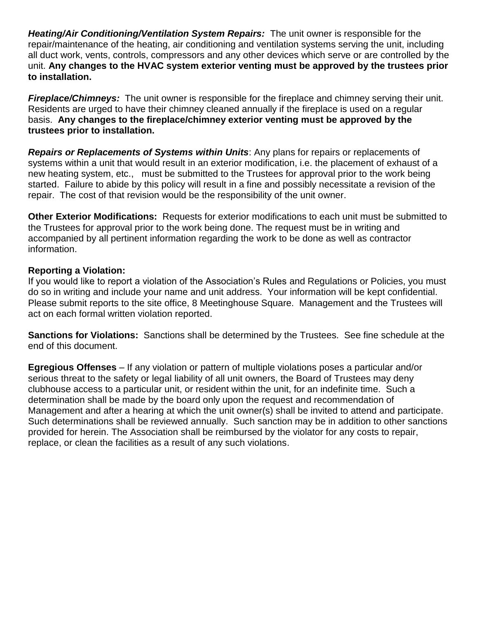*Heating/Air Conditioning/Ventilation System Repairs:* The unit owner is responsible for the repair/maintenance of the heating, air conditioning and ventilation systems serving the unit, including all duct work, vents, controls, compressors and any other devices which serve or are controlled by the unit. **Any changes to the HVAC system exterior venting must be approved by the trustees prior to installation.**

*Fireplace/Chimneys:*The unit owner is responsible for the fireplace and chimney serving their unit. Residents are urged to have their chimney cleaned annually if the fireplace is used on a regular basis. **Any changes to the fireplace/chimney exterior venting must be approved by the trustees prior to installation.**

*Repairs or Replacements of Systems within Units*: Any plans for repairs or replacements of systems within a unit that would result in an exterior modification, i.e. the placement of exhaust of a new heating system, etc., must be submitted to the Trustees for approval prior to the work being started. Failure to abide by this policy will result in a fine and possibly necessitate a revision of the repair. The cost of that revision would be the responsibility of the unit owner.

**Other Exterior Modifications:** Requests for exterior modifications to each unit must be submitted to the Trustees for approval prior to the work being done. The request must be in writing and accompanied by all pertinent information regarding the work to be done as well as contractor information.

#### **Reporting a Violation:**

If you would like to report a violation of the Association's Rules and Regulations or Policies, you must do so in writing and include your name and unit address. Your information will be kept confidential. Please submit reports to the site office, 8 Meetinghouse Square. Management and the Trustees will act on each formal written violation reported.

**Sanctions for Violations:** Sanctions shall be determined by the Trustees. See fine schedule at the end of this document.

**Egregious Offenses** – If any violation or pattern of multiple violations poses a particular and/or serious threat to the safety or legal liability of all unit owners, the Board of Trustees may deny clubhouse access to a particular unit, or resident within the unit, for an indefinite time. Such a determination shall be made by the board only upon the request and recommendation of Management and after a hearing at which the unit owner(s) shall be invited to attend and participate. Such determinations shall be reviewed annually. Such sanction may be in addition to other sanctions provided for herein. The Association shall be reimbursed by the violator for any costs to repair, replace, or clean the facilities as a result of any such violations.